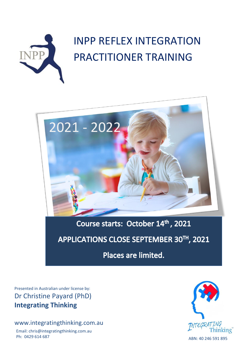



# Course starts: October 14th, 2021

## APPLICATIONS CLOSE SEPTEMBER 30TH, 2021

Places are limited.

Presented in Australian under license by: Dr Christine Payard (PhD) **Integrating Thinking**

## www.integratingthinking.com.au

Email: chris@integratingthinking.com.au Ph: 0429 614 687ABN: 40 246 591 895

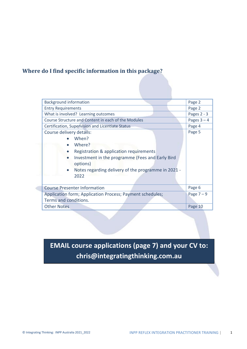## **Where do I find specific information in this package?**

| Page 2        |
|---------------|
| Page 2        |
| Pages $2 - 3$ |
| Pages $3 - 4$ |
| Page 4        |
| Page 5        |
|               |
|               |
|               |
|               |
|               |
| Page 6        |
| Page $7-9$    |
|               |
| Page 10       |
|               |

## **EMAIL course applications (page 7) and your CV to: chris@integratingthinking.com.au**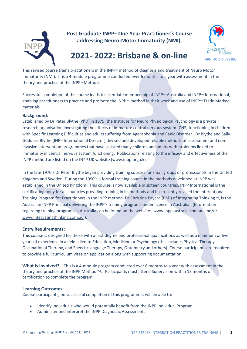

**Post Graduate INPP<sup>™</sup> One Year Practitioner's Course addressing Neuro-Motor Immaturity (NMI).**



## **2021- 2022: Brisbane & on-line**

This revised course trains practitioners in the INPP<sup>M</sup> method of diagnosis and treatment of Neuro Motor Immaturity (NMI). It is a 4-module programme conducted over 6 months to a year with assessment in the theory and practice of the INPP $M$  Method.

Successful completion of the course leads to Licentiate membership of INPP™ Australia and INPP™ International, enabling practitioners to practice and promote the INPP™ method in their work and use of INPP™ Trade Marked materials.

## **Background:**

Established by Dr Peter Blythe (PhD) in 1975, the Institute for Neuro Physiological Psychology is a private research organisation investigating the effects of immature central nervous system (CNS) functioning in children with Specific Learning Difficulties and adults suffering from Agoraphobia and Panic Disorder. Dr Blythe and Sally Goddard Blythe (INPP International Director) devised and developed reliable methods of assessment and noninvasive intervention programmes that have assisted many children and adults with problems linked to immaturity in central nervous system functioning. Publications relating to the efficacy and effectiveness of the INPP method are listed on the INPP UK website (www.inpp.org.uk).

In the late 1970's Dr Peter Blythe began providing training courses for small groups of professionals in the United Kingdom and Sweden. During the 1990's a formal training course in the methods developed at INPP was established in the United Kingdom. This course is now available in sixteen countries. INPP International is the certificating body for all countries providing training in its methods and has recently revised the International Training Program for Practitioners in the INPP method. Dr Christine Payard (PhD) of Integrating Thinking  $M$ , is the Australian INPP Principal delivering the INPP™ training programs under licence in Australia. (Information regarding training programs in Australia can be found on the website: [www.inppaustralia.com.au](http://www.inppaustralia.com.au/) and/or [www.integratingthinking.com.au](http://www.integratingthinking.com.au/) ).

### **Entry Requirements:**

This course is designed for those with a first degree and professional qualifications as well as a minimum of five years of experience in a field allied to Education, Medicine or Psychology (this includes Physical Therapy, Occupational Therapy, and Speech/Language Therapy, Optometry and others). Course participants are required to provide a full curriculum vitae on application along with supporting documentation.

**What is involved?** This is a 4-module program conducted over 6 months to a year with assessment in the theory and practice of the INPP Method ™. Participants must attend Supervision within 18 months of certification to complete the program.

### **Learning Outcomes:**

Course participants, on successful completion of this programme, will be able to:

- Identify individuals who would potentially benefit from the INPP Individual Program.
- Administer and interpret the INPP Diagnostic Assessment.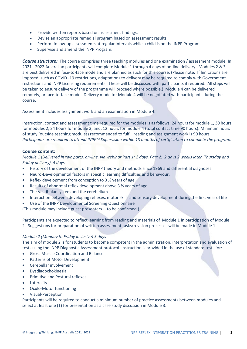- Provide written reports based on assessment findings.
- Devise an appropriate remedial program based on assessment results.
- Perform follow-up assessments at regular intervals while a child is on the INPP Program.
- Supervise and amend the INPP Program.

**Course structure:** The course comprises three teaching modules and one examination / assessment module. In 2021 - 2022 Australian participants will complete Module 1 through 4 days of on-line delivery. Modules 2 & 3 are best delivered in face-to-face mode and are planned as such for this course. (Please note: If limitations are imposed, such as COVID -19 restrictions, adaptations to delivery may be required to comply with Government restrictions and INPP Licensing requirements. These will be discussed with participants if required. All steps will be taken to ensure delivery of the programme will proceed where possible.) Module 4 can be delivered remotely, or face-to-face mode. Delivery mode for Module 4 will be negotiated with participants during the course.

Assessment includes assignment work and an examination in Module 4.

Instruction, contact and assessment time required for the modules is as follows: 24 hours for module 1, 30 hours for modules 2, 24 hours for module 3, and, 12 hours for module 4 (total contact time 90 hours). Minimum hours of study (outside teaching modules) recommended to fulfill reading and assignment work is 90 hours. *Participants are required to attend INPPTM Supervision within 18 months of certification to complete the program.*

### **Course content:**

*Module 1 (Delivered in two parts, on-line, via webinar Part 1: 2 days. Part 2: 2 days 2 weeks later, Thursday and Friday delivery). 4 days*

- History of the development of the INPP theory and methods since 1969 and differential diagnoses.
- Neuro‐Developmental factors in specific learning difficulties and behaviour.
- Reflex development from conception to 3  $\frac{1}{2}$  years of age.
- Results of abnormal reflex development above 3 % years of age.
- The Vestibular system and the cerebellum
- Interaction between developing reflexes, motor skills and sensory development during the first year of life
- Use of the INPP Developmental Screening Questionnaire

(This module may include guest presenters -- to be confirmed.)

Participants are expected to reflect learning from reading and materials of Module 1 in participation of Module 2. Suggestions for preparation of written assessment tasks/revision processes will be made in Module 1.

### *Module 2 (Monday to Friday inclusive) 5 days*

The aim of module 2 is for students to become competent in the administration, interpretation and evaluation of tests using the INPP Diagnostic Assessment protocol. Instruction is provided in the use of standard tests for:

- Gross Muscle Coordination and Balance
- Patterns of Motor Development
- Cerebellar involvement
- Dysdiadochokinesia
- Primitive and Postural reflexes
- **Laterality**
- Oculo‐Motor functioning
- Visual‐Perception

Participants will be required to conduct a minimum number of practice assessments between modules and select at least one (1) for presentation as a case study discussion in Module 3.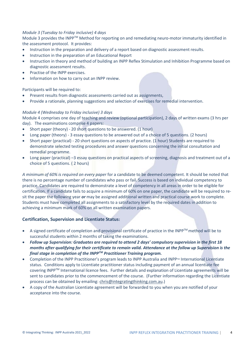### *Module 3 (Tuesday to Friday inclusive) 4 days*

Module 3 provides the INPP™ Method for reporting on and remediating neuro-motor immaturity identified in the assessment protocol. It provides:

- Instruction in the preparation and delivery of a report based on diagnostic assessment results.
- Instruction in the preparation of an Educational Report
- Instruction in theory and method of building an INPP Reflex Stimulation and Inhibition Programme based on diagnostic assessment results.
- Practise of the INPP exercises.
- Information on how to carry out an INPP review.

Participants will be required to:

- Present results from diagnostic assessments carried out as assignments,
- Provide a rationale, planning suggestions and selection of exercises for remedial intervention.

## *Module 4 (Wednesday to Friday inclusive) 3 days*

Module 4 comprises one day of teaching and review (optional participation), 2 days of written exams (3 hrs per day). The examinations comprise 4 papers:

- Short paper (theory) 20 short questions to be answered. (1 hour)
- Long paper (theory) 3 essay questions to be answered out of a choice of 5 questions. (2 hours)
- Short paper (practical) 20 short questions on aspects of practice. (1 hour) Students are required to demonstrate selected testing procedures and answer questions concerning the initial consultation and remedial programme.
- Long paper (practical) –3 essay questions on practical aspects of screening, diagnosis and treatment out of a choice of 5 questions. ( 2 hours)

*A minimum of 60% is required on every paper* for a candidate to be deemed competent. It should be noted that there is no percentage number of candidates who pass or fail. Success is based on individual competency to practice. Candidates are required to demonstrate a level of competency in all areas in order to be eligible for certification. If a candidate fails to acquire a minimum of 60% on one paper, the candidate will be required to resit the paper the following year *or* may be assigned additional written and practical course work to complete. Students must have completed all assignments to a satisfactory level by the required dates in addition to achieving a minimum mark of 60% on all written examination papers.

## **Certification, Supervision and Licentiate Status:**

- A signed certificate of completion and provisional certificate of practice in the INPP<sup>TM</sup> method will be to successful students within 2 months of taking the examinations.
- *Follow up Supervision: Graduates are required to attend 2 days' compulsory supervision in the first 18 months after qualifying for their certificate to remain valid. Attendance at the follow up Supervision is the final stage in completion of the INPPTM Practitioner Training program.*
- Completion of the INPP Practitioner's program leads to INPP Australia and INPP™ International Licentiate status. Conditions apply to Licentiate practitioner status including payment of an annual licentiate fee covering INPPTM International licence fees. Further details and explanation of Licentiate agreements will be sent to candidates prior to the commencement of the course. (Further information regarding the Licentiate process can be obtained by emailing: [chris@integratingthinking.com.au.](mailto:chris@integratingthinking.com.au))
- A copy of the Australian Licentiate agreement will be forwarded to you when you are notified of your acceptance into the course.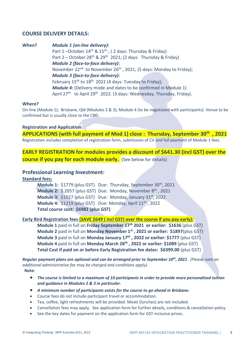## **COURSE DELIVERY DETAILS:**

**When?** *Module 1 (on-line delivery)***:** Part  $1$  –October  $14<sup>th</sup>$  &  $15<sup>th</sup>$ ; (2 days: Thursday & Friday) Part  $2 -$  October 28<sup>th</sup> & 29<sup>th</sup> 2021; (2 days: Thursday & Friday)  *Module 2 (face-to-face delivery)***:**  November  $22^{nd}$  to November  $26^{th}$ , 2021; (5 days: Monday to Friday); *Module 3 (face-to-face delivery)***:**  February 15<sup>th</sup> to 18<sup>th</sup> 2022 (4 days: Tuesday to Friday); *Module 4***:** (Delivery mode and dates to be confirmed in Module 1) April 27<sup>th</sup> to April 29<sup>th</sup> 2022. (3 days: Wednesday, Thursday, Friday).

#### **Where?**

On-line (Module 1); Brisbane, Qld (Modules 2 & 3); Module 4 (to be negotiated with participants). Venue to be confirmed but is usually close to the CBD.

#### **Registration and Application:**

**APPLICATIONS (with full payment of Mod 1) close : Thursday, September 30th , 2021** Registration includes completion of registration form, submission of CV and full payment of Module 1 fees.

**EARLY REGISTRATION for modules provides a discount of \$641.30 (incl GST) over the course if you pay for each module early.** (See below for details)

## **Professional Learning Investment:**

**Standard fees:**

|                                      |  | Module 1: \$1779 (plus GST) Due: Thursday, September 30 <sup>th</sup> , 2021         |  |  |
|--------------------------------------|--|--------------------------------------------------------------------------------------|--|--|
|                                      |  | <b>Module 2:</b> $\frac{2}{3}$ 2057 (plus GST) Due: Monday, November $8^{th}$ , 2021 |  |  |
|                                      |  | Module 3: \$1927 (plus GST) Due: Monday, January 31 <sup>st</sup> , 2022             |  |  |
|                                      |  | <b>Module 4:</b> \$1219 (plus GST) Due: Monday, April $11th$ , 2022                  |  |  |
| Total course cost: \$6982 (plus GST) |  |                                                                                      |  |  |

## **Early Bird Registration fees (SAVE \$649 ( incl GST) over the course if you pay early):**

**Module 1** paid in full on **Friday September 17th 2021 or earlier: \$1636** (plus GST) **Module 2** paid in full on **Monday November 1 st , 2021 or earlier: \$1897**(plus GST) **Module 3** paid in full on **Monday January 17th , 2022 or earlier: \$1777** (plus GST) **Module 4** paid in full on **Monday March 28th , 2022 or earlier: \$1089** (plus GST) **Total Cost if paid on or before Early Registration fee dates: \$6399.00** (plus GST)

*Regular payment plans are optional and can be arranged prior to September 10 th, 2021. (Please note an additional administrative fee may be charged and conditions apply).*  **Note:** 

- *The course is limited to a maximum of 10 participants in order to provide more personalised tuition and guidance in Modules 2 & 3 in particular.*
- *A minimum number of participants exists for the course to go ahead in Brisbane.*
- Course fees *do not* include participant travel or accommodation.
- Tea, coffee, light refreshments will be provided. Meals (lunches) are not included.
- Cancellation fees may apply. See application form for further details, conditions & cancellation policy.
- See the key dates for payment on the application form for GST inclusive prices.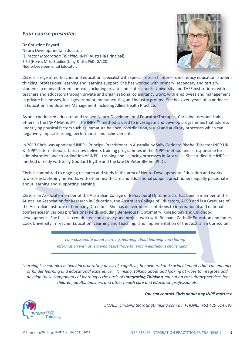## *Your course presenter:*

#### **Dr Christine Payard**

Neuro Developmental Educator. (Director *Integrating Thinking,* INPP Australia Principal) B Ed (Hons), M Ed Studies (Lang & Lit), PhD, GAICD. Neuro-Developmental Educator.



Chris is a registered teacher and education specialist with special research interests in literacy education, student thinking, professional learning and learning support. She has worked with primary, secondary and tertiary students in many different contexts including private and state schools, University and TAFE institutions; with teachers and educators through private and organisational consultancy work; with employees and management in private businesses, local government, manufacturing and industry groups. She has over years of experience in Education and Business Management including Allied Health Practice.

As an experienced educator and trained Neuro-Developmental Educator/Therapist, Christine uses and trains others in the INPP Method™. The INPP ™ method is used to investigate and develop programmes that address underlying physical factors such as immature balance, coordination, visual and auditory processes which can negatively impact learning, performance and achievement.

In 2013 Chris was appointed INPP<sup>TM</sup> Principal Practitioner in Australia by Sally Goddard Blythe (Director INPP UK & INPP™ International). Chris now delivers training programmes in the INPP™ method and is responsible for administration and co-ordination of INPP™ training and licencing processes in Australia. She studied the INPP™ method directly with Sally Goddard Blythe and the late Dr Peter Blythe (PhD).

Chris is committed to ongoing research and study in the area of Neuro-Developmental Education and works towards establishing networks with other health care and educational support practitioners equally passionate about learning and supporting learning.

Chris is an Associate member of the Australian College of Behavioural Optometrists, has been a member of the Australian Association for Research in Education, the Australian College of Educators, ACSD and is a Graduate of the Australian Institute of Company Directors. She has delivered presentations to international and national conferences in various professional fields including Behavioural Optometry, Kinesiology and Childhood development. She has also conducted consultancy and project work with Brisbane Catholic Education and James Cook University in Teacher Education, Learning and Teaching, and implementation of the Australian Curriculum.

> *"I am passionate about learning, learning about learning and sharing information with others who assist those for whom learning is challenging."*

*Learning is a complex activity incorporating physical, cognitive, behavioural and social elements that can enhance or hinder learning and educational experience. Thinking, talking about and looking at ways to integrate and develop these components of learning is the basis of Integrating Thinking education consultancy services for children, adults, teachers and other health care and education professionals.*





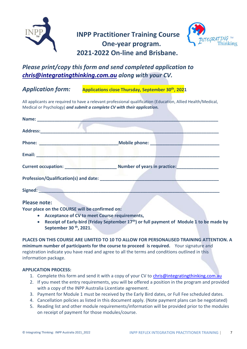

## **INPP Practitioner Training Course One-year program. 2021-2022 On-line and Brisbane.**



## *Please print/copy this form and send completed application to [chris@integratingthinking.com.au](mailto:chris@integratingthinking.com.au) along with your CV.*

## *Application form:* **Applications close Thursday, September 30th, 2021**

All applicants are required to have a relevant professional qualification (Education, Allied Health/Medical, Medical or Psychology) *and submit a complete CV with their application.*

| Email: Email: Email: Email: Email: Email: Email: Email: Email: Email: Email: Email: Email: Email: Email: Email: Email: Email: Email: Email: Email: Email: Email: Email: Email: Email: Email: Email: Email: Email: Email: Email |                                                  |
|--------------------------------------------------------------------------------------------------------------------------------------------------------------------------------------------------------------------------------|--------------------------------------------------|
|                                                                                                                                                                                                                                | Current occupation: Mumber of years in practice: |
| <b>Profession/Qualification(s) and date: EXECUTE: Profession/Qualification(s) and date:</b>                                                                                                                                    |                                                  |
| Signed: <u>_________________________________</u>                                                                                                                                                                               |                                                  |
|                                                                                                                                                                                                                                |                                                  |

## **Please note:**

**Your place on the COURSE will be confirmed on:**

- **Acceptance of CV to meet Course requirements,**
- **Receipt of Early-bird (Friday September 17 th) or full payment of Module 1 to be made by September 30 th, 2021.**

**PLACES ON THIS COURSE ARE LIMITED TO 10 TO ALLOW FOR PERSONALISED TRAINING ATTENTION. A minimum number of participants for the course to proceed is required.** Your signature and registration indicate you have read and agree to all the terms and conditions outlined in this information package.

## **APPLICATION PROCESS:**

- 1. Complete this form and send it with a copy of your CV to [chris@integratingthinking.com.au](mailto:chris@integratingthinking.com.au)
- 2. If you meet the entry requirements, you will be offered a position in the program and provided with a copy of the INPP Australia Licentiate agreement.
- 3. Payment for Module 1 must be received by the Early Bird dates, or Full Fee scheduled dates.
- 4. Cancellation policies as listed in this document apply. (Note payment plans can be negotiated)
- 5. Reading list and other module requirements/information will be provided prior to the modules on receipt of payment for those modules/course.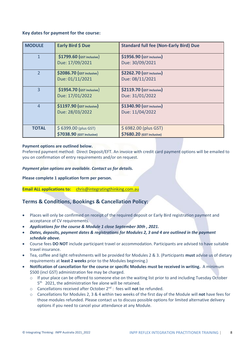## **Key dates for payment for the course:**

| <b>MODULE</b>  | Early Bird \$ Due                | <b>Standard full fee (Non-Early Bird) Due</b> |
|----------------|----------------------------------|-----------------------------------------------|
| 1              | \$1799.60 (GST inclusive)        | \$1956.90 (GST inclusive)                     |
|                | Due: 17/09/2021                  | Due: 30/09/2021                               |
| $\overline{2}$ | <b>\$2086.70 (GST inclusive)</b> | \$2262.70 (GST inclusive)                     |
|                | Due: 01/11/2021                  | Due: 08/11/2021                               |
| 3              | \$1954.70 (GST inclusive)        | <b>\$2119.70 (GST inclusive)</b>              |
|                | Due: 17/01/2022                  | Due: 31/01/2022                               |
| $\overline{4}$ | <b>\$1197.90 (GST inclusive)</b> | \$1340.90 (GST inclusive)                     |
|                | Due: 28/03/2022                  | Due: 11/04/2022                               |
|                |                                  |                                               |
| <b>TOTAL</b>   | \$6399.00 (plus GST)             | \$6982.00 (plus GST)                          |
|                | \$7038.90 (GST inclusive)        | \$7680.20 (GST inclusive)                     |

### **Payment options are outlined below.**

Preferred payment method: Direct Deposit/EFT. An invoice with credit card payment options will be emailed to you on confirmation of entry requirements and/or on request.

### *Payment plan options are available. Contact us for details.*

**Please complete 1 application form per person.** 

**Email ALL applications to:** [chris@integratingthinking.com.au](mailto:chris@integratingthinking.com.au)

## **Terms & Conditions, Bookings & Cancellation Policy:**

- Places will only be confirmed on receipt of the required deposit or Early Bird registration payment and acceptance of CV requirements.
- *Applications for the course & Module 1 close September 30th , 2021.*
- *Dates, deposits, payment dates & registrations for Modules 2, 3 and 4 are outlined in the payment schedule above.*
- Course fees **DO NOT** include participant travel or accommodation. Participants are advised to have suitable travel insurance.
- Tea, coffee and light refreshments will be provided for Modules 2 & 3. (Participants **must** advise us of dietary requirements at **least 2 weeks** prior to the Modules beginning.)
- **Notification of cancellation for the course or specific Modules must be received in writing.** A minimum \$500 (incl GST) administration fee may be charged.
	- $\circ$  If your place can be offered to someone else on the waiting list prior to and including Tuesday October 5<sup>th</sup> 2021, the administration fee alone will be retained.
	- o Cancellations received after October 2nd : fees will **not** be refunded.
	- o Cancellations for Modules 2, 3 & 4 within two weeks of the first day of the Module will **not** have fees for those modules refunded. Please contact us to discuss possible options for limited alternative delivery options if you need to cancel your attendance at any Module.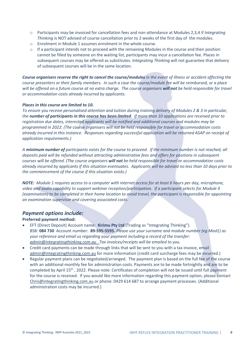- o Participants may be invoiced for cancellation fees and non-attendance at Modules 2,3,4 if *Integrating Thinking i*s NOT advised of course cancellation prior to 2 weeks of the first day of the modules.
- o Enrolment in Module 1 assumes enrolment in the whole course.
- $\circ$  If a participant intends not to proceed with the remaining Modules in the course and their position cannot be filled by someone on the waiting list, participants may incur a cancellation fee. Places in subsequent courses may be offered as substitutes. *Integrating Thinking* will not guarantee that delivery of subsequent courses will be in the same location.

*Course organisers reserve the right to cancel the course/modules in the event of illness or accident affecting the course presenters or their family members. In such a case the course/module fee will be reimbursed, or a place will be offered on a future course at no extra charge. The course organisers will not be held responsible for travel or accommodation costs already incurred by applicants.* 

### *Places in this course are limited to 10.*

*To ensure you receive personalised attention and tuition during training delivery of Modules 2 & 3 in particular, the number of participants in this course has been limited. If more than 10 applications are received prior to registration due dates, interested applicants will be notified and additional courses and modules may be programmed in 2022. (The course organisers will not be held responsible for travel or accommodation costs already incurred in this instance. Responses regarding successful application will be returned ASAP on receipt of application requirements.)* 

*A minimum number of participants exists for the course to proceed. If the minimum number is not reached, all deposits paid will be refunded without attracting administrative fees and offers for positions in subsequent courses will be offered. (The course organisers will not be held responsible for travel or accommodation costs already incurred by applicants if this situation eventuates. Applicants will be advised no less than 10 days prior to the commencement of the course if this situation exists.)*

*NOTE: Module 1 requires access to a computer with internet access for at least 6 hours per day, microphone, video and audio capability to support webinar reception/participation. If a participant selects for Module 4 (examination) to be completed in their home location to avoid travel, the participant is responsible for appointing an examination supervisor and covering associated costs.* 

## *Payment options include:*

### **Preferred payment method:**

- EFT (Direct Deposit) Account name: **Kirimu Pty Ltd** (Trading as "Integrating Thinking"). BSB: **084 730** Account number: **89-595-5595.** *Please use your surname and module number (eg Mod1) as your reference and email us regarding your payment including a record of the transfer: [admin@integratingthinking.com.au](mailto:admin@integratingthinking.com.au) Tax invoices/receipts will be emailed to you.*
- Credit card payments can be made through links that will be sent to you with a tax invoice, email [admin@integratingthinking.com.au](mailto:admin@integratingthinking.com.au) for more information (credit card surcharge fees may be incurred.)
- Regular payment plans can be negotiated/arranged. The payment plan is based on the full fee of the course with an additional monthly fee for administration costs. Payments are to be made fortnightly and are to be completed by April 15<sup>th</sup>, 2022. Please note: Certificates of completion will not be issued until full payment for the course is received. If you would like more information regarding this payment option, please contact [Chris@integratingthinking.com.au](mailto:Chris@integratingthinking.com.au) or phone: 0429 614 687 to arrange payment processes. (Additional administration costs may be incurred.)